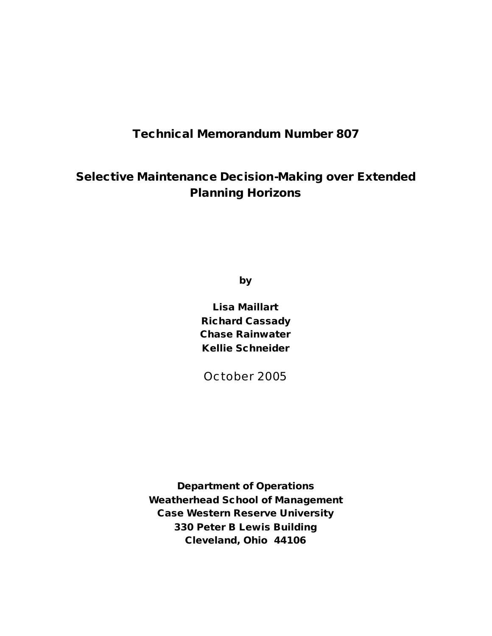## **Technical Memorandum Number 807**

# **Selective Maintenance Decision-Making over Extended Planning Horizons**

**by**

**Lisa Maillart Richard Cassady Chase Rainwater Kellie Schneider**

October 2005

**Department of Operations Weatherhead School of Management Case Western Reserve University 330 Peter B Lewis Building Cleveland, Ohio 44106**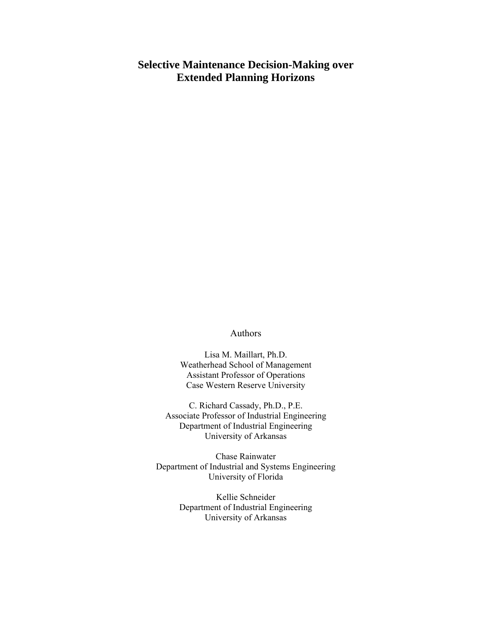## **Selective Maintenance Decision-Making over Extended Planning Horizons**

#### Authors

Lisa M. Maillart, Ph.D. Weatherhead School of Management Assistant Professor of Operations Case Western Reserve University

C. Richard Cassady, Ph.D., P.E. Associate Professor of Industrial Engineering Department of Industrial Engineering University of Arkansas

Chase Rainwater Department of Industrial and Systems Engineering University of Florida

> Kellie Schneider Department of Industrial Engineering University of Arkansas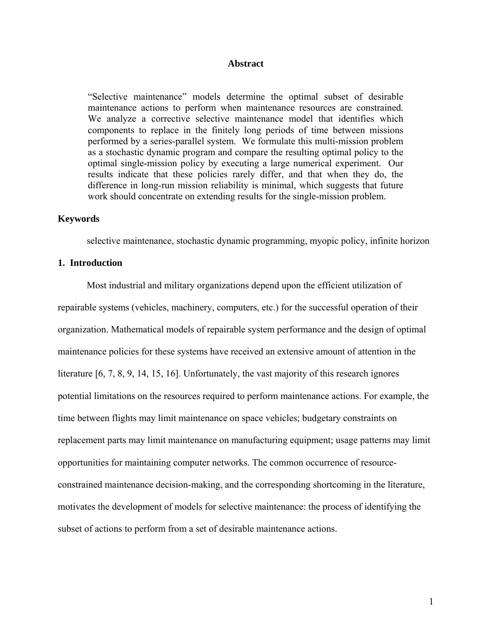### **Abstract**

 "Selective maintenance" models determine the optimal subset of desirable maintenance actions to perform when maintenance resources are constrained. We analyze a corrective selective maintenance model that identifies which components to replace in the finitely long periods of time between missions performed by a series-parallel system. We formulate this multi-mission problem as a stochastic dynamic program and compare the resulting optimal policy to the optimal single-mission policy by executing a large numerical experiment. Our results indicate that these policies rarely differ, and that when they do, the difference in long-run mission reliability is minimal, which suggests that future work should concentrate on extending results for the single-mission problem.

#### **Keywords**

selective maintenance, stochastic dynamic programming, myopic policy, infinite horizon

## **1. Introduction**

Most industrial and military organizations depend upon the efficient utilization of repairable systems (vehicles, machinery, computers, etc.) for the successful operation of their organization. Mathematical models of repairable system performance and the design of optimal maintenance policies for these systems have received an extensive amount of attention in the literature [\[6](#page-18-0), [7](#page-18-1), [8](#page-18-2), [9](#page-18-3), [14](#page-19-0), [15](#page-19-1), [16](#page-19-2)]. Unfortunately, the vast majority of this research ignores potential limitations on the resources required to perform maintenance actions. For example, the time between flights may limit maintenance on space vehicles; budgetary constraints on replacement parts may limit maintenance on manufacturing equipment; usage patterns may limit opportunities for maintaining computer networks. The common occurrence of resourceconstrained maintenance decision-making, and the corresponding shortcoming in the literature, motivates the development of models for selective maintenance: the process of identifying the subset of actions to perform from a set of desirable maintenance actions.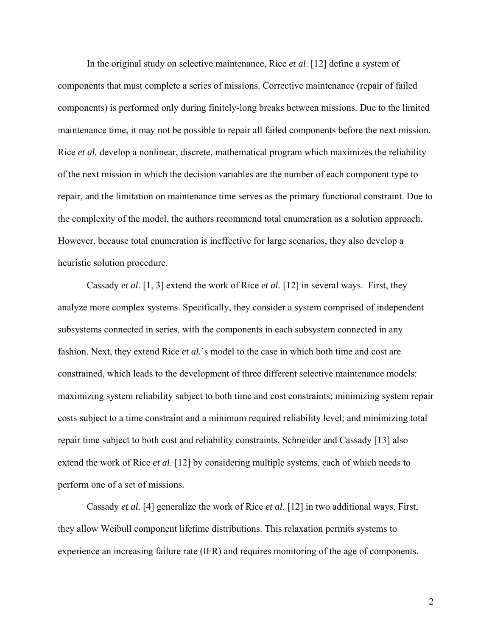In the original study on selective maintenance, Rice *et al*. [[12\]](#page-18-4) define a system of components that must complete a series of missions. Corrective maintenance (repair of failed components) is performed only during finitely-long breaks between missions. Due to the limited maintenance time, it may not be possible to repair all failed components before the next mission. Rice *et al.* develop a nonlinear, discrete, mathematical program which maximizes the reliability of the next mission in which the decision variables are the number of each component type to repair, and the limitation on maintenance time serves as the primary functional constraint. Due to the complexity of the model, the authors recommend total enumeration as a solution approach. However, because total enumeration is ineffective for large scenarios, they also develop a heuristic solution procedure.

 Cassady *et al.* [\[1,](#page-18-5) [3\]](#page-18-6) extend the work of Rice *et al.* [\[12](#page-18-4)] in several ways. First, they analyze more complex systems. Specifically, they consider a system comprised of independent subsystems connected in series, with the components in each subsystem connected in any fashion. Next, they extend Rice *et al.*'s model to the case in which both time and cost are constrained, which leads to the development of three different selective maintenance models: maximizing system reliability subject to both time and cost constraints; minimizing system repair costs subject to a time constraint and a minimum required reliability level; and minimizing total repair time subject to both cost and reliability constraints. Schneider and Cassady [[13\]](#page-18-7) also extend the work of Rice *et al*. [\[12](#page-18-4)] by considering multiple systems, each of which needs to perform one of a set of missions.

 Cassady *et al.* [\[4\]](#page-18-8) generalize the work of Rice *et al*. [[12\]](#page-18-4) in two additional ways. First, they allow Weibull component lifetime distributions. This relaxation permits systems to experience an increasing failure rate (IFR) and requires monitoring of the age of components.

2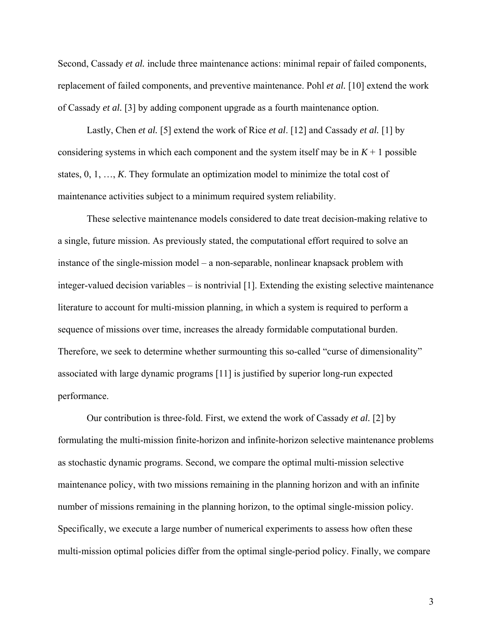Second, Cassady *et al.* include three maintenance actions: minimal repair of failed components, replacement of failed components, and preventive maintenance. Pohl *et al.* [[10\]](#page-18-9) extend the work of Cassady *et al.* [3] by adding component upgrade as a fourth maintenance option.

 Lastly, Chen *et al.* [\[5](#page-18-10)] extend the work of Rice *et al*. [[12\]](#page-18-4) and Cassady *et al.* [[1\]](#page-18-5) by considering systems in which each component and the system itself may be in  $K + 1$  possible states, 0, 1, …, *K*. They formulate an optimization model to minimize the total cost of maintenance activities subject to a minimum required system reliability.

These selective maintenance models considered to date treat decision-making relative to a single, future mission. As previously stated, the computational effort required to solve an instance of the single-mission model – a non-separable, nonlinear knapsack problem with integer-valued decision variables – is nontrivial [\[1](#page-18-5)]. Extending the existing selective maintenance literature to account for multi-mission planning, in which a system is required to perform a sequence of missions over time, increases the already formidable computational burden. Therefore, we seek to determine whether surmounting this so-called "curse of dimensionality" associated with large dynamic programs [\[11](#page-18-11)] is justified by superior long-run expected performance.

Our contribution is three-fold. First, we extend the work of Cassady *et al.* [2] by formulating the multi-mission finite-horizon and infinite-horizon selective maintenance problems as stochastic dynamic programs. Second, we compare the optimal multi-mission selective maintenance policy, with two missions remaining in the planning horizon and with an infinite number of missions remaining in the planning horizon, to the optimal single-mission policy. Specifically, we execute a large number of numerical experiments to assess how often these multi-mission optimal policies differ from the optimal single-period policy. Finally, we compare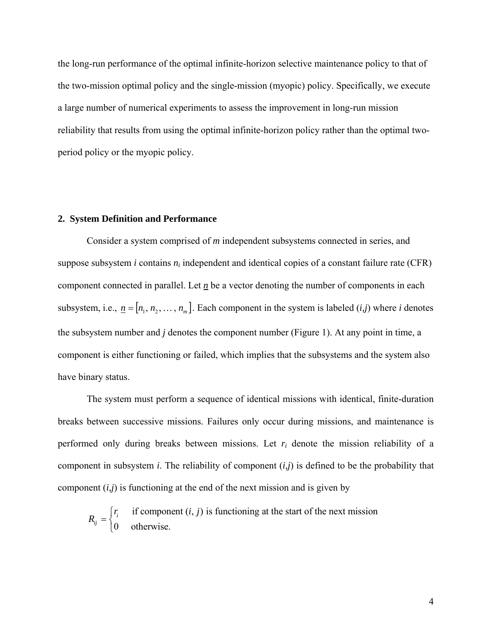the long-run performance of the optimal infinite-horizon selective maintenance policy to that of the two-mission optimal policy and the single-mission (myopic) policy. Specifically, we execute a large number of numerical experiments to assess the improvement in long-run mission reliability that results from using the optimal infinite-horizon policy rather than the optimal twoperiod policy or the myopic policy.

### **2. System Definition and Performance**

Consider a system comprised of *m* independent subsystems connected in series, and suppose subsystem *i* contains  $n_i$  independent and identical copies of a constant failure rate (CFR) component connected in parallel. Let *n* be a vector denoting the number of components in each subsystem, i.e.,  $\underline{n} = [n_1, n_2, \dots, n_m]$ . Each component in the system is labeled (*i,j*) where *i* denotes the subsystem number and *j* denotes the component number (Figure 1). At any point in time, a component is either functioning or failed, which implies that the subsystems and the system also have binary status.

The system must perform a sequence of identical missions with identical, finite-duration breaks between successive missions. Failures only occur during missions, and maintenance is performed only during breaks between missions. Let *ri* denote the mission reliability of a component in subsystem *i*. The reliability of component (*i*,*j*) is defined to be the probability that component  $(i,j)$  is functioning at the end of the next mission and is given by

$$
R_{ij} = \begin{cases} r_i & \text{if component } (i, j) \text{ is functioning at the start of the next mission} \\ 0 & \text{otherwise.} \end{cases}
$$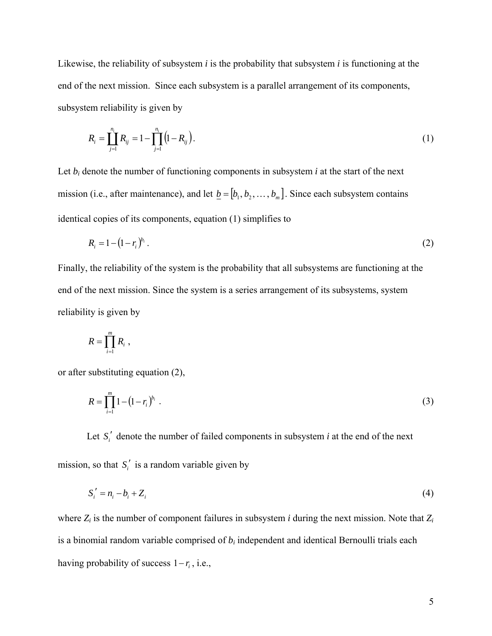Likewise, the reliability of subsystem *i* is the probability that subsystem *i* is functioning at the end of the next mission. Since each subsystem is a parallel arrangement of its components, subsystem reliability is given by

$$
R_i = \prod_{j=1}^{n_i} R_{ij} = 1 - \prod_{j=1}^{n_i} (1 - R_{ij}).
$$
\n(1)

Let  $b_i$  denote the number of functioning components in subsystem  $i$  at the start of the next mission (i.e., after maintenance), and let  $\underline{b} = [b_1, b_2, \dots, b_m]$ . Since each subsystem contains identical copies of its components, equation (1) simplifies to

$$
R_i = 1 - (1 - r_i)^{b_i} \,. \tag{2}
$$

Finally, the reliability of the system is the probability that all subsystems are functioning at the end of the next mission. Since the system is a series arrangement of its subsystems, system reliability is given by

$$
R=\prod_{i=1}^m R_i,
$$

or after substituting equation (2),

$$
R = \prod_{i=1}^{m} 1 - (1 - r_i)^{b_i} \tag{3}
$$

Let  $S_i'$  denote the number of failed components in subsystem *i* at the end of the next mission, so that  $S_i'$  is a random variable given by

$$
S_i' = n_i - b_i + Z_i \tag{4}
$$

where *Zi* is the number of component failures in subsystem *i* during the next mission. Note that *Zi* is a binomial random variable comprised of *bi* independent and identical Bernoulli trials each having probability of success  $1-r_i$ , i.e.,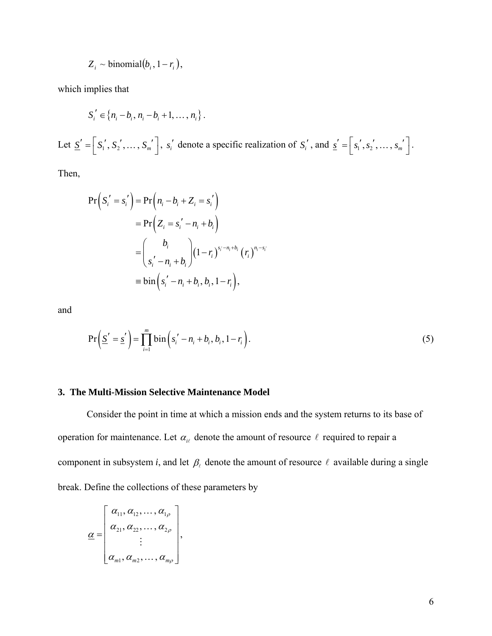$$
Z_i \sim \text{binomial}(b_i, 1 - r_i),
$$

which implies that

$$
S'_{i} \in \{n_{i} - b_{i}, n_{i} - b_{i} + 1, ..., n_{i}\}.
$$

Let  $\underline{S}' = \begin{bmatrix} S_1', S_2', \dots, S_m' \end{bmatrix}$ ,  $s_i'$  denote a specific realization of  $S_i'$ , and  $\underline{s}' = \begin{bmatrix} s_1', s_2', \dots, s_m' \end{bmatrix}$ .

Then,

$$
Pr(S_i' = s_i') = Pr(n_i - b_i + Z_i = s_i')
$$
  
= 
$$
Pr(Z_i = s_i' - n_i + b_i)
$$
  
= 
$$
\binom{b_i}{s_i' - n_i + b_i} (1 - r_i)^{s_i' - n_i + b_i} (r_i)^{n_i - s_i'}
$$
  
= 
$$
bin(s_i' - n_i + b_i, b_i, 1 - r_i),
$$

and

$$
\Pr\left(\underline{S}' = \underline{s}'\right) = \prod_{i=1}^{m} \text{bin}\left(s_i' - n_i + b_i, b_i, 1 - r_i\right). \tag{5}
$$

## **3. The Multi-Mission Selective Maintenance Model**

 Consider the point in time at which a mission ends and the system returns to its base of operation for maintenance. Let  $\alpha_{i\ell}$  denote the amount of resource  $\ell$  required to repair a component in subsystem *i*, and let  $\beta_{\ell}$  denote the amount of resource  $\ell$  available during a single break. Define the collections of these parameters by

$$
\underline{\alpha} = \begin{bmatrix} \alpha_{11}, \alpha_{12}, \dots, \alpha_{1\rho} \\ \alpha_{21}, \alpha_{22}, \dots, \alpha_{2\rho} \\ \vdots \\ \alpha_{m1}, \alpha_{m2}, \dots, \alpha_{m\rho} \end{bmatrix},
$$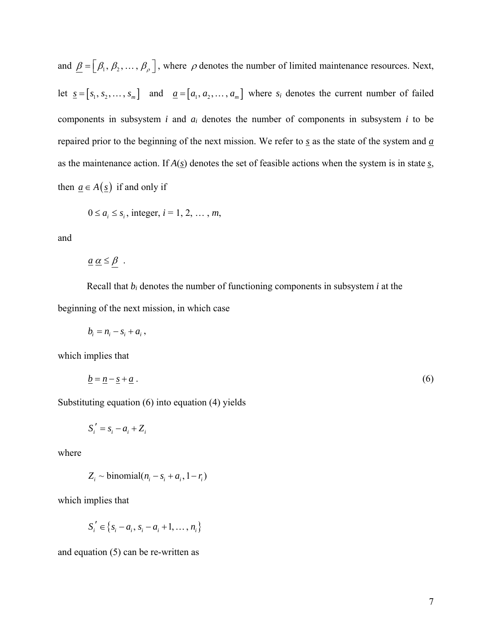and  $\underline{\beta} = [\beta_1, \beta_2, \dots, \beta_\rho]$ , where  $\rho$  denotes the number of limited maintenance resources. Next, let  $\underline{s} = [s_1, s_2, \dots, s_m]$  and  $\underline{a} = [a_1, a_2, \dots, a_m]$  where  $s_i$  denotes the current number of failed components in subsystem *i* and *ai* denotes the number of components in subsystem *i* to be repaired prior to the beginning of the next mission. We refer to *s* as the state of the system and *a* as the maintenance action. If *A*(*s*) denotes the set of feasible actions when the system is in state *s*, then  $\underline{a} \in A(\underline{s})$  if and only if

$$
0 \le a_i \le s_i
$$
, integer,  $i = 1, 2, \ldots, m$ ,

and

$$
\underline{a}\ \underline{\alpha}\leq \underline{\beta} \ .
$$

 Recall that *bi* denotes the number of functioning components in subsystem *i* at the beginning of the next mission, in which case

$$
b_i = n_i - s_i + a_i ,
$$

which implies that

$$
\underline{b} = \underline{n} - \underline{s} + \underline{a} \tag{6}
$$

Substituting equation (6) into equation (4) yields

$$
S_i' = s_i - a_i + Z_i
$$

where

$$
Z_i \sim \text{binomial}(n_i - s_i + a_i, 1 - r_i)
$$

which implies that

$$
S_i' \in \{s_i - a_i, s_i - a_i + 1, ..., n_i\}
$$

and equation (5) can be re-written as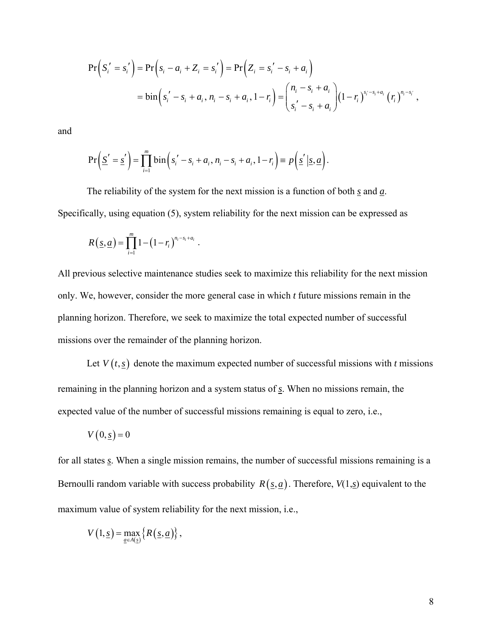$$
Pr(S'_{i} = s'_{i}) = Pr(s_{i} - a_{i} + Z_{i} = s'_{i}) = Pr(Z_{i} = s'_{i} - s_{i} + a_{i})
$$
  
=  $bin(s'_{i} - s_{i} + a_{i}, n_{i} - s_{i} + a_{i}, 1 - r_{i}) = {n_{i} - s_{i} + a_{i} \choose s'_{i} - s_{i} + a_{i}} (1 - r_{i})^{s_{i} - s_{i} + a_{i}} (r_{i})^{n_{i} - s_{i}},$ 

and

$$
\Pr\left(\underline{S}'=\underline{s}'\right)=\prod_{i=1}^m\mathrm{bin}\left(s_i'-s_i+a_i\,,n_i-s_i+a_i\,,1-r_i\right)\equiv p\left(\underline{s}'\,\big|\,\underline{s},\underline{a}\right).
$$

 The reliability of the system for the next mission is a function of both *s* and *a*. Specifically, using equation (5), system reliability for the next mission can be expressed as

$$
R\left(\underline{s},\underline{a}\right)=\prod_{i=1}^m 1-\left(1-r_i\right)^{n_i-s_i+a_i}.
$$

All previous selective maintenance studies seek to maximize this reliability for the next mission only. We, however, consider the more general case in which *t* future missions remain in the planning horizon. Therefore, we seek to maximize the total expected number of successful missions over the remainder of the planning horizon.

Let  $V(t, \underline{s})$  denote the maximum expected number of successful missions with *t* missions remaining in the planning horizon and a system status of *s*. When no missions remain, the expected value of the number of successful missions remaining is equal to zero, i.e.,

$$
V(0, \underline{s}) = 0
$$

for all states *s*. When a single mission remains, the number of successful missions remaining is a Bernoulli random variable with success probability  $R(s, a)$ . Therefore,  $V(1, s)$  equivalent to the maximum value of system reliability for the next mission, i.e.,

$$
V(1, \underline{s}) = \max_{\underline{a} \in A(\underline{s})} \{ R(\underline{s}, \underline{a}) \},
$$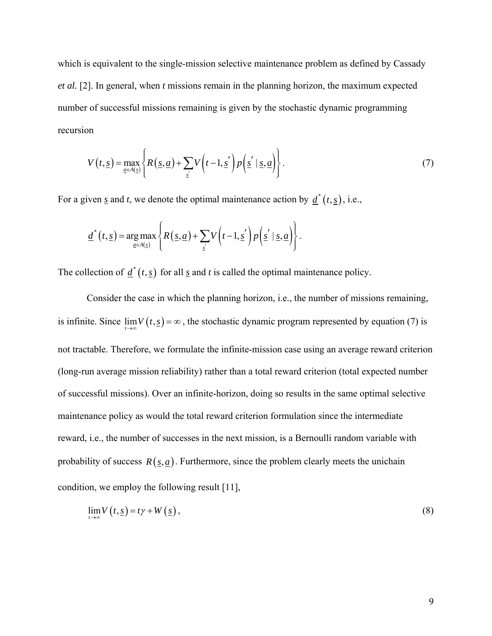which is equivalent to the single-mission selective maintenance problem as defined by Cassady *et al.* [2]. In general, when *t* missions remain in the planning horizon, the maximum expected number of successful missions remaining is given by the stochastic dynamic programming recursion

$$
V(t, \underline{s}) = \max_{\underline{a} \in A(\underline{s})} \left\{ R(\underline{s}, \underline{a}) + \sum_{\underline{s}'} V(t-1, \underline{s}') p(\underline{s}' | \underline{s}, \underline{a}) \right\}.
$$
 (7)

For a given <u>s</u> and *t*, we denote the optimal maintenance action by  $\underline{d}^*(t, \underline{s})$ , i.e.,

$$
\underline{d}^*(t,\underline{s}) = \underset{\underline{a} \in A(\underline{s})}{\arg \max} \left\{ R(\underline{s},\underline{a}) + \sum_{\underline{s}'} V\left(t-1,\underline{s}'\right) p\left(\underline{s}' \mid \underline{s},\underline{a}\right) \right\}.
$$

The collection of  $\underline{d}^*(t, \underline{s})$  for all <u>s</u> and *t* is called the optimal maintenance policy.

 Consider the case in which the planning horizon, i.e., the number of missions remaining, is infinite. Since  $\lim_{t\to\infty} V(t,\underline{s}) = \infty$ , the stochastic dynamic program represented by equation (7) is not tractable. Therefore, we formulate the infinite-mission case using an average reward criterion (long-run average mission reliability) rather than a total reward criterion (total expected number of successful missions). Over an infinite-horizon, doing so results in the same optimal selective maintenance policy as would the total reward criterion formulation since the intermediate reward, i.e., the number of successes in the next mission, is a Bernoulli random variable with probability of success  $R(s, a)$ . Furthermore, since the problem clearly meets the unichain condition, we employ the following result [\[11](#page-18-11)],

$$
\lim_{t \to \infty} V\left(t, \underline{s}\right) = t\gamma + W\left(\underline{s}\right),\tag{8}
$$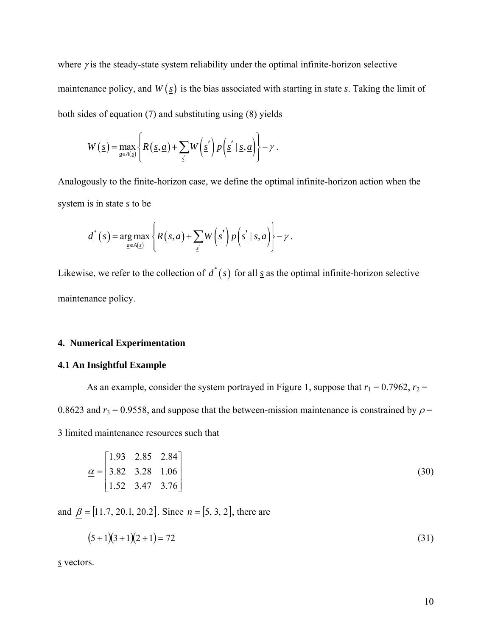where  $\gamma$  is the steady-state system reliability under the optimal infinite-horizon selective maintenance policy, and  $W(g)$  is the bias associated with starting in state <u>s</u>. Taking the limit of both sides of equation (7) and substituting using (8) yields

$$
W(\underline{s}) = \max_{\underline{a} \in A(\underline{s})} \left\{ R(\underline{s}, \underline{a}) + \sum_{\underline{s'}} W(\underline{s'}) p(\underline{s'} | \underline{s}, \underline{a}) \right\} - \gamma.
$$

Analogously to the finite-horizon case, we define the optimal infinite-horizon action when the system is in state *s* to be

$$
\underline{d}^*(\underline{s}) = \underset{\underline{a} \in A(\underline{s})}{\arg \max} \left\{ R(\underline{s}, \underline{a}) + \sum_{\underline{s}'} W(\underline{s}') p(\underline{s}' | \underline{s}, \underline{a}) \right\} - \gamma.
$$

Likewise, we refer to the collection of  $\underline{d}^*(\underline{s})$  for all <u>s</u> as the optimal infinite-horizon selective maintenance policy.

## **4. Numerical Experimentation**

### **4.1 An Insightful Example**

As an example, consider the system portrayed in Figure 1, suppose that  $r_1 = 0.7962$ ,  $r_2 =$ 0.8623 and  $r_3$  = 0.9558, and suppose that the between-mission maintenance is constrained by  $\rho$  = 3 limited maintenance resources such that

$$
\underline{\alpha} = \begin{bmatrix} 1.93 & 2.85 & 2.84 \\ 3.82 & 3.28 & 1.06 \\ 1.52 & 3.47 & 3.76 \end{bmatrix}
$$
(30)

and  $\beta = [11.7, 20.1, 20.2]$ . Since  $n = [5, 3, 2]$ , there are

$$
(5+1)(3+1)(2+1) = 72
$$
\n(31)

*s* vectors.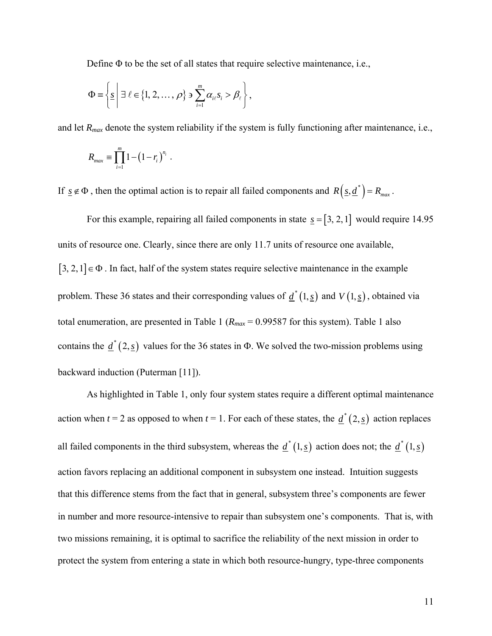Define  $\Phi$  to be the set of all states that require selective maintenance, i.e.,

$$
\Phi \equiv \left\{ \underline{s} \mid \exists \ell \in \{1, 2, ..., \rho\} \ni \sum_{i=1}^{m} \alpha_{i\ell} s_i > \beta_{\ell} \right\},\
$$

and let  $R_{max}$  denote the system reliability if the system is fully functioning after maintenance, i.e.,

$$
R_{max} \equiv \prod_{i=1}^{m} 1 - (1 - r_i)^{n_i} \; .
$$

If  $\underline{s} \notin \Phi$ , then the optimal action is to repair all failed components and  $R(\underline{s}, \underline{d}^*) = R_{max}$ .

For this example, repairing all failed components in state  $s = [3, 2, 1]$  would require 14.95 units of resource one. Clearly, since there are only 11.7 units of resource one available,  $[3, 2, 1] \in \Phi$ . In fact, half of the system states require selective maintenance in the example problem. These 36 states and their corresponding values of  $d^*(1, s)$  and  $V(1, s)$ , obtained via total enumeration, are presented in Table 1 ( $R_{max}$  = 0.99587 for this system). Table 1 also contains the  $\underline{d}^*(2, \underline{s})$  values for the 36 states in Φ. We solved the two-mission problems using backward induction (Puterman [11]).

 As highlighted in Table 1, only four system states require a different optimal maintenance action when  $t = 2$  as opposed to when  $t = 1$ . For each of these states, the  $\underline{d}^*(2, \underline{s})$  action replaces all failed components in the third subsystem, whereas the  $d^*(1, \underline{s})$  action does not; the  $d^*(1, \underline{s})$ action favors replacing an additional component in subsystem one instead. Intuition suggests that this difference stems from the fact that in general, subsystem three's components are fewer in number and more resource-intensive to repair than subsystem one's components. That is, with two missions remaining, it is optimal to sacrifice the reliability of the next mission in order to protect the system from entering a state in which both resource-hungry, type-three components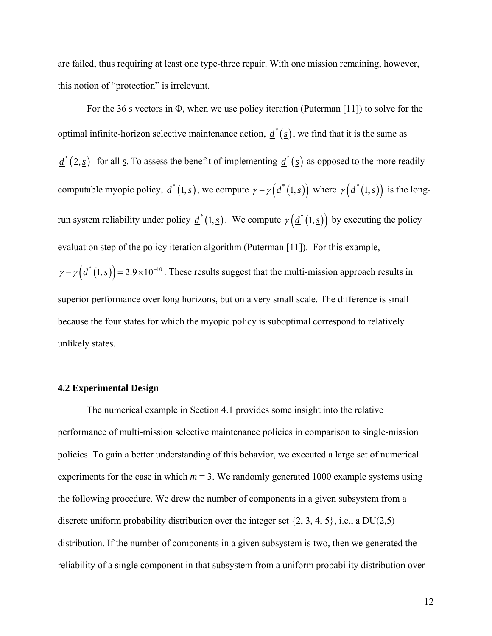are failed, thus requiring at least one type-three repair. With one mission remaining, however, this notion of "protection" is irrelevant.

 For the 36 *s* vectors in Φ, when we use policy iteration (Puterman [11]) to solve for the optimal infinite-horizon selective maintenance action,  $\underline{d}^*(\underline{s})$ , we find that it is the same as  $\underline{d}^*(2, \underline{s})$  for all <u>s</u>. To assess the benefit of implementing  $\underline{d}^*(\underline{s})$  as opposed to the more readilycomputable myopic policy,  $\underline{d}^*(1, \underline{s})$ , we compute  $\gamma - \gamma(\underline{d}^*(1, \underline{s}))$  where  $\gamma(\underline{d}^*(1, \underline{s}))$  is the longrun system reliability under policy  $\underline{d}^*(1, \underline{s})$ . We compute  $\gamma(\underline{d}^*(1, \underline{s}))$  by executing the policy evaluation step of the policy iteration algorithm (Puterman [11]). For this example,  $\gamma - \gamma \left( \underline{d}^*(1, \underline{s}) \right) = 2.9 \times 10^{-10}$ . These results suggest that the multi-mission approach results in superior performance over long horizons, but on a very small scale. The difference is small because the four states for which the myopic policy is suboptimal correspond to relatively unlikely states.

#### **4.2 Experimental Design**

 The numerical example in Section 4.1 provides some insight into the relative performance of multi-mission selective maintenance policies in comparison to single-mission policies. To gain a better understanding of this behavior, we executed a large set of numerical experiments for the case in which  $m = 3$ . We randomly generated 1000 example systems using the following procedure. We drew the number of components in a given subsystem from a discrete uniform probability distribution over the integer set  $\{2, 3, 4, 5\}$ , i.e., a DU(2,5) distribution. If the number of components in a given subsystem is two, then we generated the reliability of a single component in that subsystem from a uniform probability distribution over

12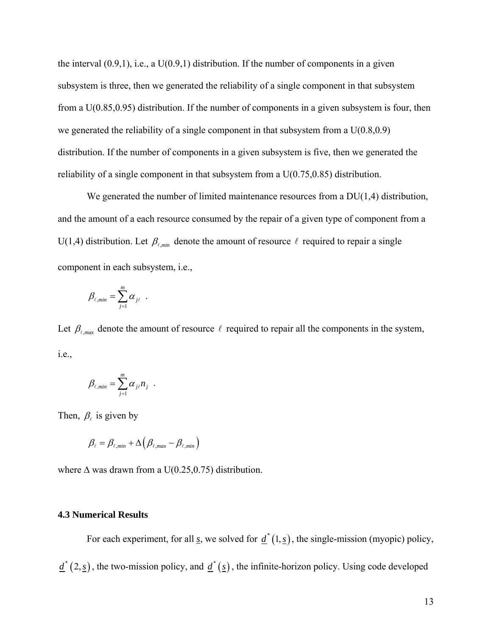the interval  $(0.9,1)$ , i.e., a  $U(0.9,1)$  distribution. If the number of components in a given subsystem is three, then we generated the reliability of a single component in that subsystem from a U(0.85,0.95) distribution. If the number of components in a given subsystem is four, then we generated the reliability of a single component in that subsystem from a  $U(0.8, 0.9)$ distribution. If the number of components in a given subsystem is five, then we generated the reliability of a single component in that subsystem from a U(0.75,0.85) distribution.

We generated the number of limited maintenance resources from a DU(1,4) distribution, and the amount of a each resource consumed by the repair of a given type of component from a U(1,4) distribution. Let  $\beta_{\ell,min}$  denote the amount of resource  $\ell$  required to repair a single component in each subsystem, i.e.,

$$
\beta_{\ell, min} = \sum_{j=1}^m \alpha_{j\ell} \ .
$$

Let  $\beta_{\ell, max}$  denote the amount of resource  $\ell$  required to repair all the components in the system, i.e.,

$$
\beta_{\ell, min} = \sum_{j=1}^m \alpha_{j\ell} n_j .
$$

Then,  $\beta$  is given by

$$
\beta_{\ell} = \beta_{\ell, min} + \Delta \left( \beta_{\ell, max} - \beta_{\ell, min} \right)
$$

where  $\Delta$  was drawn from a U(0.25,0.75) distribution.

## **4.3 Numerical Results**

For each experiment, for all <u>s</u>, we solved for  $d^*(1, s)$ , the single-mission (myopic) policy,  $\underline{d}^*(2, \underline{s})$ , the two-mission policy, and  $\underline{d}^*(\underline{s})$ , the infinite-horizon policy. Using code developed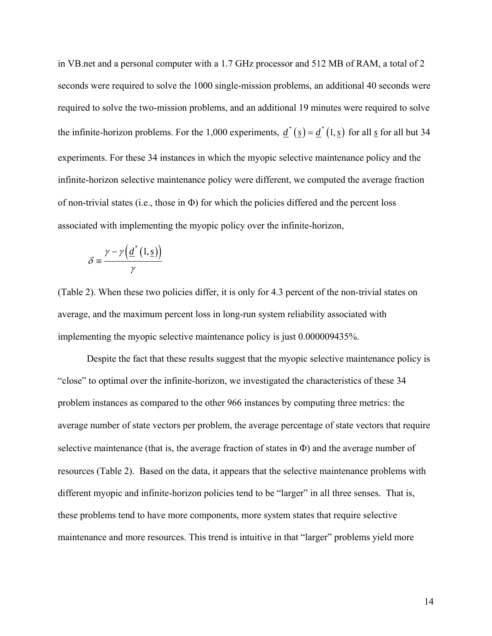in VB.net and a personal computer with a 1.7 GHz processor and 512 MB of RAM, a total of 2 seconds were required to solve the 1000 single-mission problems, an additional 40 seconds were required to solve the two-mission problems, and an additional 19 minutes were required to solve the infinite-horizon problems. For the 1,000 experiments,  $\underline{d}^*(\underline{s}) = \underline{d}^*(1, \underline{s})$  for all  $\underline{s}$  for all but 34 experiments. For these 34 instances in which the myopic selective maintenance policy and the infinite-horizon selective maintenance policy were different, we computed the average fraction of non-trivial states (i.e., those in Φ) for which the policies differed and the percent loss associated with implementing the myopic policy over the infinite-horizon,

$$
\delta \equiv \frac{\gamma - \gamma \left(\underline{d}^*(1,\underline{s})\right)}{\gamma}
$$

(Table 2). When these two policies differ, it is only for 4.3 percent of the non-trivial states on average, and the maximum percent loss in long-run system reliability associated with implementing the myopic selective maintenance policy is just 0.000009435%.

 Despite the fact that these results suggest that the myopic selective maintenance policy is "close" to optimal over the infinite-horizon, we investigated the characteristics of these 34 problem instances as compared to the other 966 instances by computing three metrics: the average number of state vectors per problem, the average percentage of state vectors that require selective maintenance (that is, the average fraction of states in  $\Phi$ ) and the average number of resources (Table 2). Based on the data, it appears that the selective maintenance problems with different myopic and infinite-horizon policies tend to be "larger" in all three senses. That is, these problems tend to have more components, more system states that require selective maintenance and more resources. This trend is intuitive in that "larger" problems yield more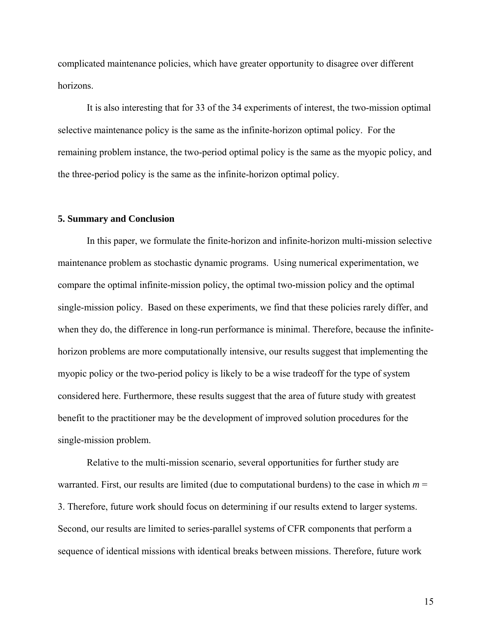complicated maintenance policies, which have greater opportunity to disagree over different horizons.

It is also interesting that for 33 of the 34 experiments of interest, the two-mission optimal selective maintenance policy is the same as the infinite-horizon optimal policy. For the remaining problem instance, the two-period optimal policy is the same as the myopic policy, and the three-period policy is the same as the infinite-horizon optimal policy.

#### **5. Summary and Conclusion**

In this paper, we formulate the finite-horizon and infinite-horizon multi-mission selective maintenance problem as stochastic dynamic programs. Using numerical experimentation, we compare the optimal infinite-mission policy, the optimal two-mission policy and the optimal single-mission policy. Based on these experiments, we find that these policies rarely differ, and when they do, the difference in long-run performance is minimal. Therefore, because the infinitehorizon problems are more computationally intensive, our results suggest that implementing the myopic policy or the two-period policy is likely to be a wise tradeoff for the type of system considered here. Furthermore, these results suggest that the area of future study with greatest benefit to the practitioner may be the development of improved solution procedures for the single-mission problem.

Relative to the multi-mission scenario, several opportunities for further study are warranted. First, our results are limited (due to computational burdens) to the case in which  $m =$ 3. Therefore, future work should focus on determining if our results extend to larger systems. Second, our results are limited to series-parallel systems of CFR components that perform a sequence of identical missions with identical breaks between missions. Therefore, future work

15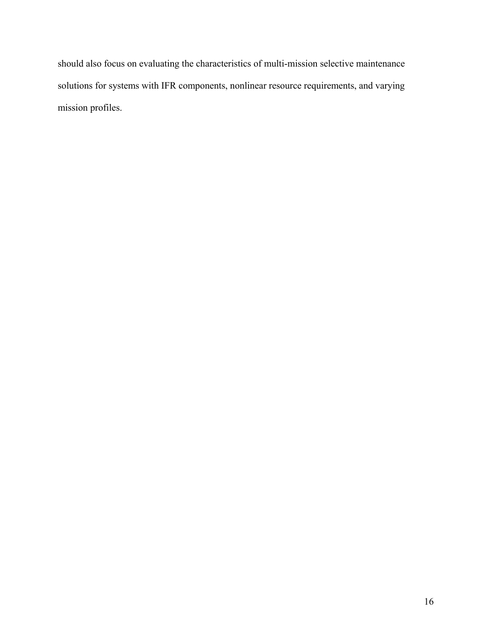should also focus on evaluating the characteristics of multi-mission selective maintenance solutions for systems with IFR components, nonlinear resource requirements, and varying mission profiles.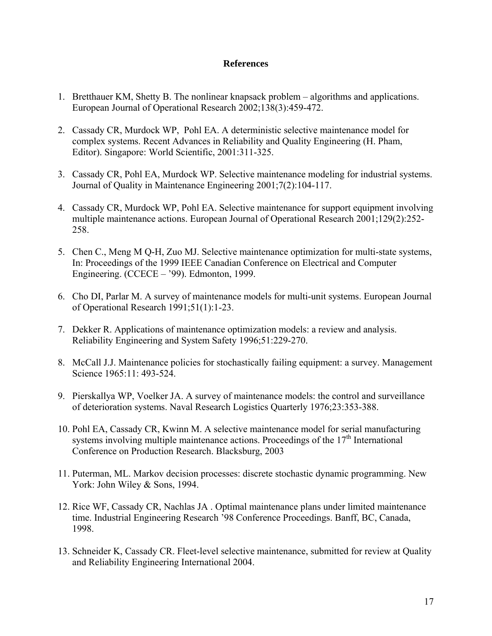## **References**

- <span id="page-18-5"></span>1. Bretthauer KM, Shetty B. The nonlinear knapsack problem – algorithms and applications. European Journal of Operational Research 2002;138(3):459-472.
- 2. Cassady CR, Murdock WP, Pohl EA. A deterministic selective maintenance model for complex systems. Recent Advances in Reliability and Quality Engineering (H. Pham, Editor). Singapore: World Scientific, 2001:311-325.
- <span id="page-18-6"></span>3. Cassady CR, Pohl EA, Murdock WP. Selective maintenance modeling for industrial systems. Journal of Quality in Maintenance Engineering 2001;7(2):104-117.
- <span id="page-18-8"></span>4. Cassady CR, Murdock WP, Pohl EA. Selective maintenance for support equipment involving multiple maintenance actions. European Journal of Operational Research 2001;129(2):252- 258.
- <span id="page-18-10"></span>5. Chen C., Meng M Q-H, Zuo MJ. Selective maintenance optimization for multi-state systems, In: Proceedings of the 1999 IEEE Canadian Conference on Electrical and Computer Engineering. (CCECE – '99). Edmonton, 1999.
- <span id="page-18-0"></span>6. Cho DI, Parlar M. A survey of maintenance models for multi-unit systems. European Journal of Operational Research 1991;51(1):1-23.
- <span id="page-18-1"></span>7. Dekker R. Applications of maintenance optimization models: a review and analysis. Reliability Engineering and System Safety 1996;51:229-270.
- <span id="page-18-2"></span>8. McCall J.J. Maintenance policies for stochastically failing equipment: a survey. Management Science 1965:11: 493-524.
- <span id="page-18-3"></span>9. Pierskallya WP, Voelker JA. A survey of maintenance models: the control and surveillance of deterioration systems. Naval Research Logistics Quarterly 1976;23:353-388.
- <span id="page-18-9"></span>10. Pohl EA, Cassady CR, Kwinn M. A selective maintenance model for serial manufacturing systems involving multiple maintenance actions. Proceedings of the  $17<sup>th</sup>$  International Conference on Production Research. Blacksburg, 2003
- <span id="page-18-11"></span>11. Puterman, ML. Markov decision processes: discrete stochastic dynamic programming. New York: John Wiley & Sons, 1994.
- <span id="page-18-4"></span>12. Rice WF, Cassady CR, Nachlas JA . Optimal maintenance plans under limited maintenance time. Industrial Engineering Research '98 Conference Proceedings. Banff, BC, Canada, 1998.
- <span id="page-18-7"></span>13. Schneider K, Cassady CR. Fleet-level selective maintenance, submitted for review at Quality and Reliability Engineering International 2004.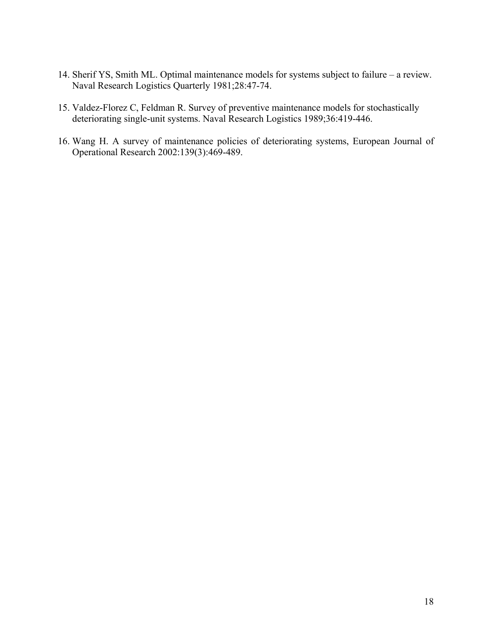- <span id="page-19-0"></span>14. Sherif YS, Smith ML. Optimal maintenance models for systems subject to failure – a review. Naval Research Logistics Quarterly 1981;28:47-74.
- <span id="page-19-1"></span>15. Valdez-Florez C, Feldman R. Survey of preventive maintenance models for stochastically deteriorating single-unit systems. Naval Research Logistics 1989;36:419-446.
- <span id="page-19-2"></span>16. Wang H. A survey of maintenance policies of deteriorating systems, European Journal of Operational Research 2002:139(3):469-489.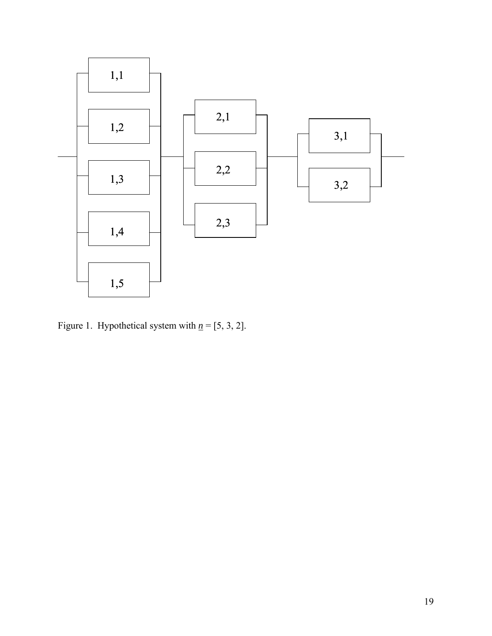

Figure 1. Hypothetical system with  $n = [5, 3, 2]$ .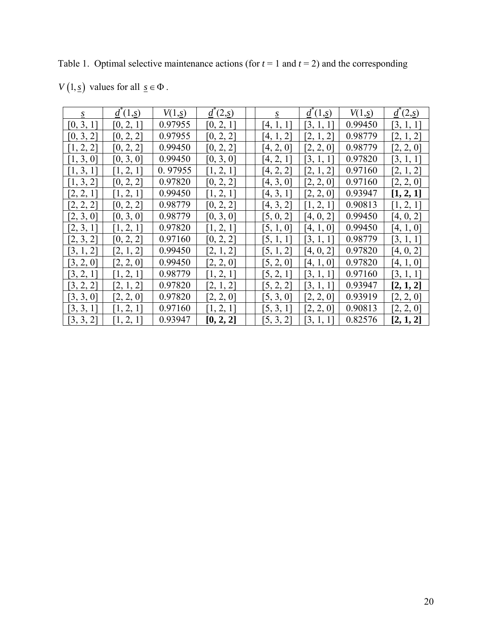Table 1. Optimal selective maintenance actions (for  $t = 1$  and  $t = 2$ ) and the corresponding

*V*  $(1, \underline{s})$  values for all  $\underline{s} \in \Phi$ .

| S         | $d^{(1,s)}$ | V(1,s)  | $d^{\hat{}}(2,\underline{s})$ | S         | $\underline{d}^{\dagger}(1,\underline{s})$ | V(1,s)  | $\underline{d}^{\dagger}(2,\underline{s})$ |
|-----------|-------------|---------|-------------------------------|-----------|--------------------------------------------|---------|--------------------------------------------|
| [0, 3, 1] | [0, 2, 1]   | 0.97955 | [0, 2, 1]                     | [4, 1, 1] | [3, 1, 1]                                  | 0.99450 | [3, 1, 1]                                  |
| [0, 3, 2] | [0, 2, 2]   | 0.97955 | [0, 2, 2]                     | [4, 1, 2] | [2, 1, 2]                                  | 0.98779 | [2, 1, 2]                                  |
| [1, 2, 2] | [0, 2, 2]   | 0.99450 | [0, 2, 2]                     | [4, 2, 0] | [2, 2, 0]                                  | 0.98779 | [2, 2, 0]                                  |
| [1, 3, 0] | [0, 3, 0]   | 0.99450 | [0, 3, 0]                     | [4, 2, 1] | [3, 1, 1]                                  | 0.97820 | [3, 1, 1]                                  |
| [1, 3, 1] | [1, 2, 1]   | 0.97955 | [1, 2, 1]                     | [4, 2, 2] | [2, 1, 2]                                  | 0.97160 | [2, 1, 2]                                  |
| [1, 3, 2] | [0, 2, 2]   | 0.97820 | [0, 2, 2]                     | [4, 3, 0] | [2, 2, 0]                                  | 0.97160 | [2, 2, 0]                                  |
| [2, 2, 1] | [1, 2, 1]   | 0.99450 | [1, 2, 1]                     | [4, 3, 1] | [2, 2, 0]                                  | 0.93947 | [1, 2, 1]                                  |
| [2, 2, 2] | [0, 2, 2]   | 0.98779 | [0, 2, 2]                     | [4, 3, 2] | [1, 2, 1]                                  | 0.90813 | [1, 2, 1]                                  |
| [2, 3, 0] | [0, 3, 0]   | 0.98779 | [0, 3, 0]                     | [5, 0, 2] | [4, 0, 2]                                  | 0.99450 | [4, 0, 2]                                  |
| [2, 3, 1] | [1, 2, 1]   | 0.97820 | [1, 2, 1]                     | [5, 1, 0] | [4, 1, 0]                                  | 0.99450 | [4, 1, 0]                                  |
| [2, 3, 2] | [0, 2, 2]   | 0.97160 | [0, 2, 2]                     | [5, 1, 1] | [3, 1, 1]                                  | 0.98779 | [3, 1, 1]                                  |
| [3, 1, 2] | [2, 1, 2]   | 0.99450 | [2, 1, 2]                     | [5, 1, 2] | [4, 0, 2]                                  | 0.97820 | [4, 0, 2]                                  |
| [3, 2, 0] | [2, 2, 0]   | 0.99450 | [2, 2, 0]                     | [5, 2, 0] | [4, 1, 0]                                  | 0.97820 | [4, 1, 0]                                  |
| [3, 2, 1] | [1, 2, 1]   | 0.98779 | [1, 2, 1]                     | [5, 2, 1] | [3, 1, 1]                                  | 0.97160 | [3, 1, 1]                                  |
| [3, 2, 2] | [2, 1, 2]   | 0.97820 | [2, 1, 2]                     | [5, 2, 2] | [3, 1, 1]                                  | 0.93947 | [2, 1, 2]                                  |
| [3, 3, 0] | [2, 2, 0]   | 0.97820 | [2, 2, 0]                     | [5, 3, 0] | [2, 2, 0]                                  | 0.93919 | [2, 2, 0]                                  |
| [3, 3, 1] | [1, 2, 1]   | 0.97160 | [1, 2, 1]                     | [5, 3, 1] | [2, 2, 0]                                  | 0.90813 | [2, 2, 0]                                  |
| [3, 3, 2] | [1, 2, 1]   | 0.93947 | [0, 2, 2]                     | [5, 3, 2] | [3, 1, 1]                                  | 0.82576 | [2, 1, 2]                                  |